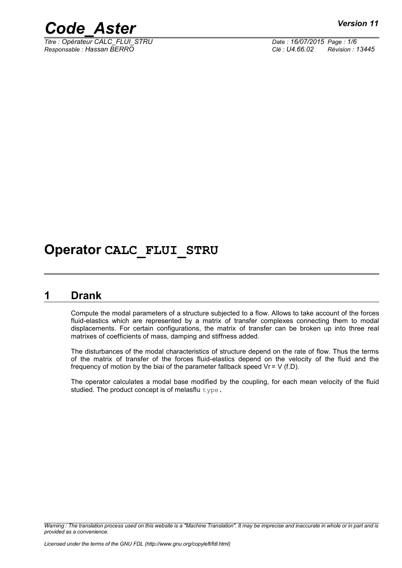



*Titre : Opérateur CALC\_FLUI\_STRU Date : 16/07/2015 Page : 1/6 Responsable : Hassan BERRO Clé : U4.66.02 Révision : 13445*

## **Operator CALC\_FLUI\_STRU**

## **1 Drank**

Compute the modal parameters of a structure subjected to a flow. Allows to take account of the forces fluid-elastics which are represented by a matrix of transfer complexes connecting them to modal displacements. For certain configurations, the matrix of transfer can be broken up into three real matrixes of coefficients of mass, damping and stiffness added.

The disturbances of the modal characteristics of structure depend on the rate of flow. Thus the terms of the matrix of transfer of the forces fluid-elastics depend on the velocity of the fluid and the frequency of motion by the biai of the parameter fallback speed  $V = V (f.D)$ .

The operator calculates a modal base modified by the coupling, for each mean velocity of the fluid studied. The product concept is of melasflu  $type$ .

*Warning : The translation process used on this website is a "Machine Translation". It may be imprecise and inaccurate in whole or in part and is provided as a convenience.*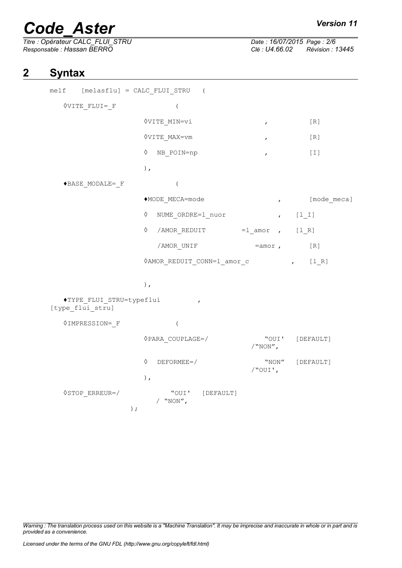# *Code\_Aster Version 11*<br>
Titre : Opérateur CALC FLUI STRU Date : 16/07/2015 Page : 2/6

*Titre : Opérateur CALC\_FLUI\_STRU Date : 16/07/2015 Page : 2/6 Responsable : Hassan BERRO Clé : U4.66.02 Révision : 13445*

## **2 Syntax**

| melf [melasflu] = CALC FLUI STRU (           |                                                         |                                 |                 |
|----------------------------------------------|---------------------------------------------------------|---------------------------------|-----------------|
| <b>OVITE FLUI= F</b>                         | $\left($                                                |                                 |                 |
|                                              | <b>OVITE MIN=vi</b>                                     | $\mathcal{F}$ and $\mathcal{F}$ | $[ R ]$         |
|                                              | <b>OVITE MAX=vm</b>                                     | $\mathbf{r}$                    | [R]             |
|                                              | $\lozenge$ NB POIN=np                                   | $\pmb{r}$                       | $[1]$           |
|                                              | $)$ ,                                                   |                                 |                 |
| ◆BASE MODALE= F                              | $\overline{(\ }$                                        |                                 |                 |
|                                              | ◆MODE_MECA=mode                                         | $\boldsymbol{r}$                | [mode meca]     |
|                                              | $\Diamond$<br>NUME ORDRE=1 nuor                         | $\mathbf{r}$                    | $[1_1]$         |
|                                              | ♦<br>/AMOR_REDUIT =1_amor , [1_R]                       |                                 |                 |
|                                              | /AMOR UNIF                                              | $=$ amor ,                      | [R]             |
|                                              | $\Diamond AMOR\_REDUIT\_CONN=1\_amor_c$ , [1R]          |                                 |                 |
|                                              | $\,$ ,                                                  |                                 |                 |
| ◆TYPE FLUI STRU=typeflui<br>[type_flui_stru] | $\mathbf{r}$                                            |                                 |                 |
| <b><i><u>OIMPRESSION=</u></i></b> F          | $\overline{(\ }$                                        |                                 |                 |
|                                              | $\Diamond$ PARA COUPLAGE=/                              | $/$ "NON",                      | "OUI' [DEFAULT] |
|                                              | ♦<br>DEFORMEE=/                                         | /"OUI',                         | "NON" [DEFAULT] |
| $\Diamond$ STOP ERREUR=/                     | ) $\prime$<br>"OUI' [DEFAULT]<br>/ $``NON''$ ,<br>$)$ ; |                                 |                 |

*Warning : The translation process used on this website is a "Machine Translation". It may be imprecise and inaccurate in whole or in part and is provided as a convenience.*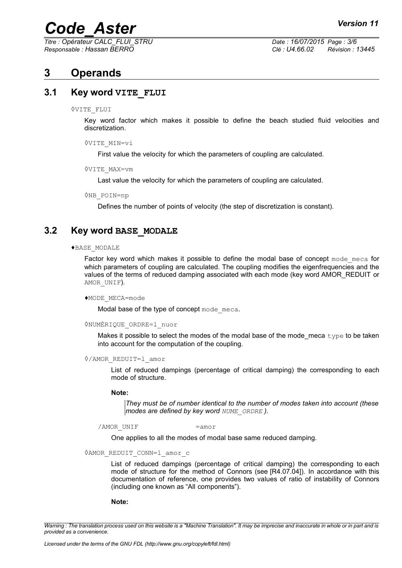*Titre : Opérateur CALC\_FLUI\_STRU Date : 16/07/2015 Page : 3/6 Responsable : Hassan BERRO Clé : U4.66.02 Révision : 13445*

## **3 Operands**

## **3.1 Key word VITE\_FLUI**

#### ◊VITE\_FLUI

Key word factor which makes it possible to define the beach studied fluid velocities and discretization.

◊VITE\_MIN=vi

First value the velocity for which the parameters of coupling are calculated.

◊VITE\_MAX=vm

Last value the velocity for which the parameters of coupling are calculated.

◊NB\_POIN=np

Defines the number of points of velocity (the step of discretization is constant).

### **3.2 Key word BASE\_MODALE**

#### ♦BASE\_MODALE

Factor key word which makes it possible to define the modal base of concept mode meca for which parameters of coupling are calculated. The coupling modifies the eigenfrequencies and the values of the terms of reduced damping associated with each mode (key word AMOR\_REDUIT or AMOR UNIF).

#### ♦MODE\_MECA=mode

Modal base of the type of concept mode meca.

#### ◊NUMÉRIQUE\_ORDRE=l\_nuor

Makes it possible to select the modes of the modal base of the mode\_meca type to be taken into account for the computation of the coupling.

◊/AMOR\_REDUIT=l\_amor

List of reduced dampings (percentage of critical damping) the corresponding to each mode of structure.

### **Note:**

*They must be of number identical to the number of modes taken into account (these modes are defined by key word NUME\_ORDRE ).*

/AMOR UNIF  $=$ amor

One applies to all the modes of modal base same reduced damping.

#### ◊AMOR\_REDUIT\_CONN=l\_amor\_c

List of reduced dampings (percentage of critical damping) the corresponding to each mode of structure for the method of Connors (see [R4.07.04]). In accordance with this documentation of reference, one provides two values of ratio of instability of Connors (including one known as "All components").

#### **Note:**

*Warning : The translation process used on this website is a "Machine Translation". It may be imprecise and inaccurate in whole or in part and is provided as a convenience.*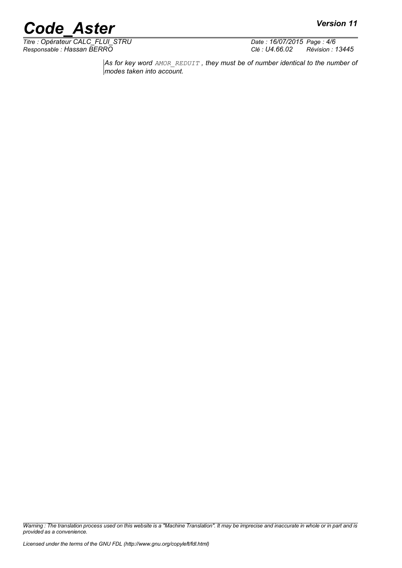*Titre : Opérateur CALC\_FLUI\_STRU Date : 16/07/2015 Page : 4/6 Responsable : Hassan BERRO Clé : U4.66.02 Révision : 13445*

*As for key word AMOR\_REDUIT , they must be of number identical to the number of modes taken into account.*

*Warning : The translation process used on this website is a "Machine Translation". It may be imprecise and inaccurate in whole or in part and is provided as a convenience.*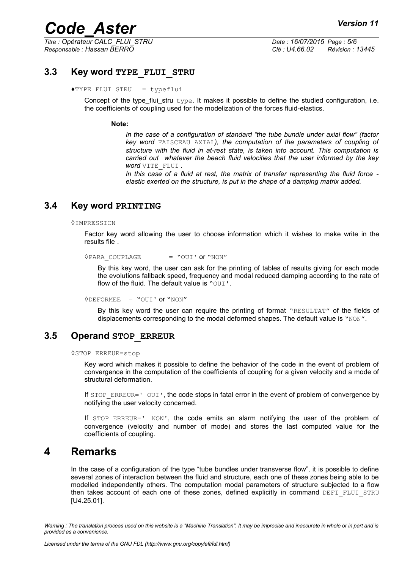*Titre : Opérateur CALC\_FLUI\_STRU Date : 16/07/2015 Page : 5/6 Responsable : Hassan BERRO Clé : U4.66.02 Révision : 13445*

## **3.3 Key word TYPE\_FLUI\_STRU**

### ♦TYPE\_FLUI\_STRU = typeflui

Concept of the type flui stru  $type$ . It makes it possible to define the studied configuration, i.e. the coefficients of coupling used for the modelization of the forces fluid-elastics.

### **Note:**

*In the case of a configuration of standard "the tube bundle under axial flow" (factor key word* FAISCEAU\_AXIAL*), the computation of the parameters of coupling of structure with the fluid in at-rest state, is taken into account. This computation is carried out whatever the beach fluid velocities that the user informed by the key word* VITE\_FLUI *.*

*In this case of a fluid at rest, the matrix of transfer representing the fluid force elastic exerted on the structure, is put in the shape of a damping matrix added.*

### **3.4 Key word PRINTING**

◊IMPRESSION

Factor key word allowing the user to choose information which it wishes to make write in the results file .

 $\Diamond$ PARA COUPLAGE = "OUI' or "NON"

By this key word, the user can ask for the printing of tables of results giving for each mode the evolutions fallback speed, frequency and modal reduced damping according to the rate of flow of the fluid. The default value is "OUI".

◊DEFORMEE = "OUI' or "NON"

By this key word the user can require the printing of format "RESULTAT" of the fields of displacements corresponding to the modal deformed shapes. The default value is "NON".

### **3.5 Operand STOP\_ERREUR**

◊STOP\_ERREUR=stop

Key word which makes it possible to define the behavior of the code in the event of problem of convergence in the computation of the coefficients of coupling for a given velocity and a mode of structural deformation.

If STOP\_ERREUR=' OUI', the code stops in fatal error in the event of problem of convergence by notifying the user velocity concerned.

If  $STOP$   $ERREUR = ' NON'$ , the code emits an alarm notifying the user of the problem of convergence (velocity and number of mode) and stores the last computed value for the coefficients of coupling.

## **4 Remarks**

In the case of a configuration of the type "tube bundles under transverse flow", it is possible to define several zones of interaction between the fluid and structure, each one of these zones being able to be modelled independently others. The computation modal parameters of structure subjected to a flow then takes account of each one of these zones, defined explicitly in command DEFI\_FLUI\_STRU [U4.25.01].

*Warning : The translation process used on this website is a "Machine Translation". It may be imprecise and inaccurate in whole or in part and is provided as a convenience.*